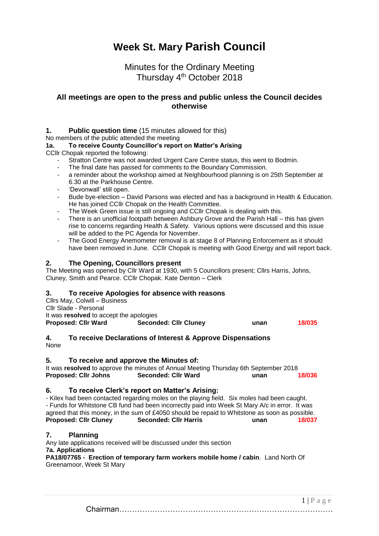# **Week St. Mary Parish Council**

## Minutes for the Ordinary Meeting Thursday 4<sup>th</sup> October 2018

### **All meetings are open to the press and public unless the Council decides otherwise**

#### **1. Public question time** (15 minutes allowed for this)

No members of the public attended the meeting

#### **1a. To receive County Councillor's report on Matter's Arising**

CCllr Chopak reported the following:

- Stratton Centre was not awarded Urgent Care Centre status, this went to Bodmin.
- The final date has passed for comments to the Boundary Commission.
- a reminder about the workshop aimed at Neighbourhood planning is on 25th September at 6.30 at the Parkhouse Centre.
- 'Devonwall' still open.
- Bude bye-election David Parsons was elected and has a background in Health & Education. He has joined CCllr Chopak on the Health Committee.
- The Week Green issue is still ongoing and CCIIr Chopak is dealing with this.
- There is an unofficial footpath between Ashbury Grove and the Parish Hall this has given rise to concerns regarding Health & Safety. Various options were discussed and this issue will be added to the PC Agenda for November.
- The Good Energy Anemometer removal is at stage 8 of Planning Enforcement as it should have been removed in June. CCllr Chopak is meeting with Good Energy and will report back.

#### **2. The Opening, Councillors present**

The Meeting was opened by Cllr Ward at 1930, with 5 Councillors present; Cllrs Harris, Johns, Cluney, Smith and Pearce. CCllr Chopak. Kate Denton – Clerk

#### **3. To receive Apologies for absence with reasons**

Cllrs May, Colwill – Business Cllr Slade - Personal It was **resolved** to accept the apologies **Proposed: Cllr Ward Seconded: Cllr Cluney unan 18/035**

#### **4. To receive Declarations of Interest & Approve Dispensations** None

#### **5. To receive and approve the Minutes of:**

It was **resolved** to approve the minutes of Annual Meeting Thursday 6th September 2018 **Proposed: Cllr Johns Seconded: Cllr Ward unan 18/036**

#### **6. To receive Clerk's report on Matter's Arising:**

- Kilex had been contacted regarding moles on the playing field. Six moles had been caught. - Funds for Whitstone CB fund had been incorrectly paid into Week St Mary A/c in error. It was agreed that this money, in the sum of £4050 should be repaid to Whitstone as soon as possible. **Proposed: Cllr Cluney Seconded: Cllr Harris unan 18/037**

#### **7. Planning**

Any late applications received will be discussed under this section **7a. Applications PA18/07765 - Erection of temporary farm workers mobile home / cabin**. Land North Of

Greenamoor, Week St Mary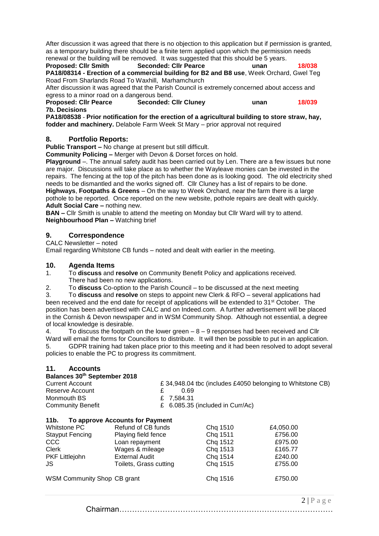After discussion it was agreed that there is no objection to this application but if permission is granted, as a temporary building there should be a finite term applied upon which the permission needs

renewal or the building will be removed. It was suggested that this should be 5 years. **Proposed: Cllr Smith Seconded: Cllr Pearce unan 18/038**

**PA18/08314 - Erection of a commercial building for B2 and B8 use**, Week Orchard, Gwel Teg Road From Sharlands Road To Waxhill, Marhamchurch

After discussion it was agreed that the Parish Council is extremely concerned about access and egress to a minor road on a dangerous bend.<br>**Proposed: CIIr Pearce Seconded: CIIr Clunev** 

**Proposed: Cllr Pearce Seconded: Cllr Cluney unan 18/039 7b. Decisions**

**PA18/08538** - **Prior notification for the erection of a agricultural building to store straw, hay, fodder and machinery.** Delabole Farm Week St Mary – prior approval not required

#### **8. Portfolio Reports:**

**Public Transport –** No change at present but still difficult.

**Community Policing –** Merger with Devon & Dorset forces on hold.

**Playground** –. The annual safety audit has been carried out by Len. There are a few issues but none are major. Discussions will take place as to whether the Wayleave monies can be invested in the repairs. The fencing at the top of the pitch has been done as is looking good. The old electricity shed needs to be dismantled and the works signed off. Cllr Cluney has a list of repairs to be done. **Highways**, **Footpaths & Greens** – On the way to Week Orchard, near the farm there is a large pothole to be reported. Once reported on the new website, pothole repairs are dealt with quickly. **Adult Social Care –** nothing new.

**BAN –** Cllr Smith is unable to attend the meeting on Monday but Cllr Ward will try to attend. **Neighbourhood Plan –** Watching brief

#### **9. Correspondence**

CALC Newsletter – noted

Email regarding Whitstone CB funds – noted and dealt with earlier in the meeting.

#### **10. Agenda Items**

1. To **discuss** and **resolve** on Community Benefit Policy and applications received. There had been no new applications.

2. To **discuss** Co-option to the Parish Council – to be discussed at the next meeting

3. To **discuss** and **resolve** on steps to appoint new Clerk & RFO – several applications had been received and the end date for receipt of applications will be extended to 31<sup>st</sup> October. The position has been advertised with CALC and on Indeed.com. A further advertisement will be placed in the Cornish & Devon newspaper and in WSM Community Shop. Although not essential, a degree of local knowledge is desirable.

4. To discuss the footpath on the lower green – 8 – 9 responses had been received and Cllr Ward will email the forms for Councillors to distribute. It will then be possible to put in an application. 5. GDPR training had taken place prior to this meeting and it had been resolved to adopt several policies to enable the PC to progress its commitment.

#### **11. Accounts**

| Balances 30th September 2018 |                                                           |
|------------------------------|-----------------------------------------------------------|
| <b>Current Account</b>       | £34,948.04 tbc (includes £4050 belonging to Whitstone CB) |
| Reserve Account              | 0 69                                                      |
| Monmouth BS                  | £ 7.584.31                                                |
| <b>Community Benefit</b>     | £ 6.085.35 (included in Curr/Ac)                          |

#### **11b. To approve Accounts for Payment**

| Whitstone PC                | Refund of CB funds     | Chq 1510 | £4,050.00 |
|-----------------------------|------------------------|----------|-----------|
| <b>Stayput Fencing</b>      | Playing field fence    | Chq 1511 | £756.00   |
| <b>CCC</b>                  | Loan repayment         | Chq 1512 | £975.00   |
| <b>Clerk</b>                | Wages & mileage        | Chq 1513 | £165.77   |
| <b>PKF Littlejohn</b>       | <b>External Audit</b>  | Chq 1514 | £240.00   |
| JS                          | Toilets, Grass cutting | Chq 1515 | £755.00   |
| WSM Community Shop CB grant |                        | Chq 1516 | £750.00   |